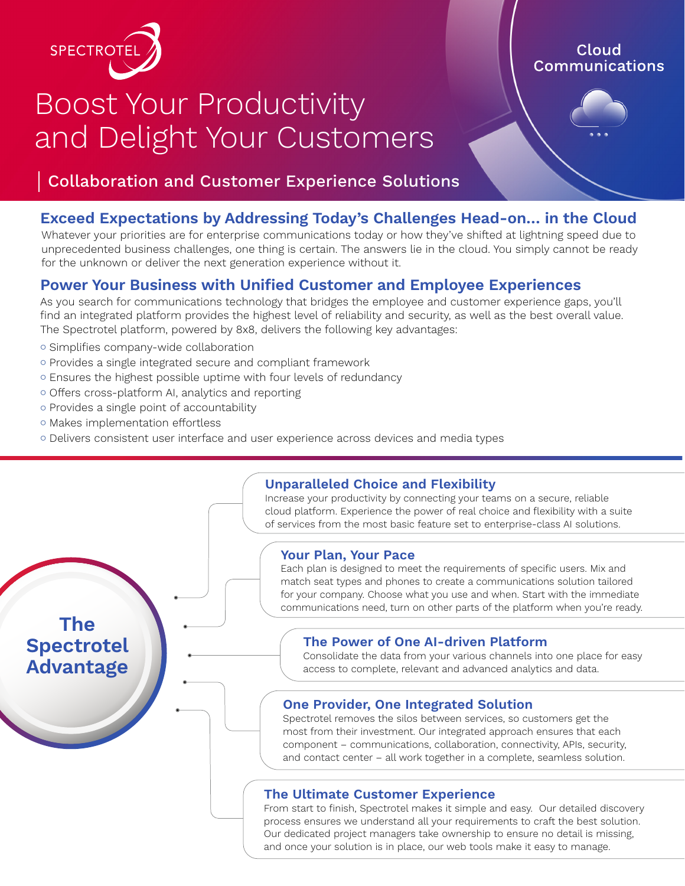

# Cloud Communications

# Boost Your Productivity and Delight Your Customers

Collaboration and Customer Experience Solutions

# **Exceed Expectations by Addressing Today's Challenges Head-on… in the Cloud**

Whatever your priorities are for enterprise communications today or how they've shifted at lightning speed due to unprecedented business challenges, one thing is certain. The answers lie in the cloud. You simply cannot be ready for the unknown or deliver the next generation experience without it.

# **Power Your Business with Unified Customer and Employee Experiences**

As you search for communications technology that bridges the employee and customer experience gaps, you'll find an integrated platform provides the highest level of reliability and security, as well as the best overall value. The Spectrotel platform, powered by 8x8, delivers the following key advantages:

- Simplifies company-wide collaboration
- Provides a single integrated secure and compliant framework
- Ensures the highest possible uptime with four levels of redundancy
- Offers cross-platform AI, analytics and reporting
- Provides a single point of accountability
- Makes implementation effortless

**The Spectrotel** 

**Advantage**

○ Delivers consistent user interface and user experience across devices and media types

#### **Unparalleled Choice and Flexibility**

Increase your productivity by connecting your teams on a secure, reliable cloud platform. Experience the power of real choice and flexibility with a suite of services from the most basic feature set to enterprise-class AI solutions.

#### **Your Plan, Your Pace**

Each plan is designed to meet the requirements of specific users. Mix and match seat types and phones to create a communications solution tailored for your company. Choose what you use and when. Start with the immediate communications need, turn on other parts of the platform when you're ready.

# **The Power of One AI-driven Platform**

Consolidate the data from your various channels into one place for easy access to complete, relevant and advanced analytics and data.

#### **One Provider, One Integrated Solution**

Spectrotel removes the silos between services, so customers get the most from their investment. Our integrated approach ensures that each component – communications, collaboration, connectivity, APIs, security, and contact center – all work together in a complete, seamless solution.

#### **The Ultimate Customer Experience**

From start to finish, Spectrotel makes it simple and easy. Our detailed discovery process ensures we understand all your requirements to craft the best solution. Our dedicated project managers take ownership to ensure no detail is missing, and once your solution is in place, our web tools make it easy to manage.